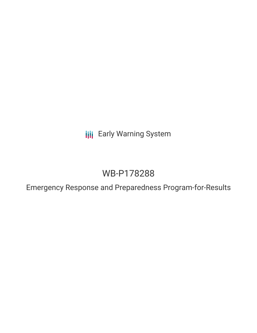**III** Early Warning System

# WB-P178288

Emergency Response and Preparedness Program-for-Results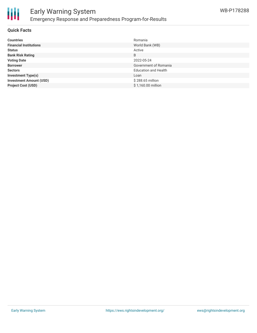

#### **Quick Facts**

| <b>Countries</b>               | Romania                     |
|--------------------------------|-----------------------------|
| <b>Financial Institutions</b>  | World Bank (WB)             |
| <b>Status</b>                  | Active                      |
| <b>Bank Risk Rating</b>        | B                           |
| <b>Voting Date</b>             | 2022-05-24                  |
| <b>Borrower</b>                | Government of Romania       |
| <b>Sectors</b>                 | <b>Education and Health</b> |
| <b>Investment Type(s)</b>      | Loan                        |
| <b>Investment Amount (USD)</b> | \$288.65 million            |
| <b>Project Cost (USD)</b>      | \$1,160.00 million          |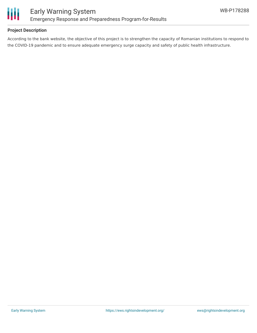

## **Project Description**

According to the bank website, the objective of this project is to strengthen the capacity of Romanian institutions to respond to the COVID-19 pandemic and to ensure adequate emergency surge capacity and safety of public health infrastructure.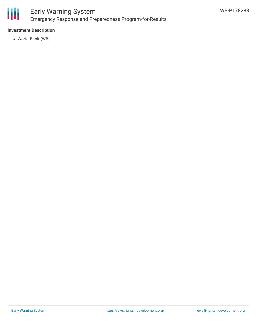

# Early Warning System Emergency Response and Preparedness Program-for-Results

# **Investment Description**

World Bank (WB)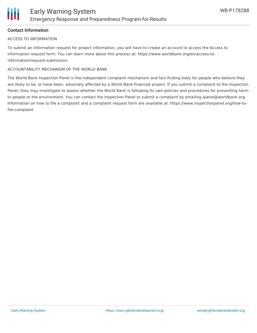## **Contact Information**

#### ACCESS TO INFORMATION

To submit an information request for project information, you will have to create an account to access the Access to Information request form. You can learn more about this process at: https://www.worldbank.org/en/access-toinformation/request-submission

#### ACCOUNTABILITY MECHANISM OF THE WORLD BANK

The World Bank Inspection Panel is the independent complaint mechanism and fact-finding body for people who believe they are likely to be, or have been, adversely affected by a World Bank-financed project. If you submit a complaint to the Inspection Panel, they may investigate to assess whether the World Bank is following its own policies and procedures for preventing harm to people or the environment. You can contact the Inspection Panel or submit a complaint by emailing ipanel@worldbank.org. Information on how to file a complaint and a complaint request form are available at: https://www.inspectionpanel.org/how-tofile-complaint